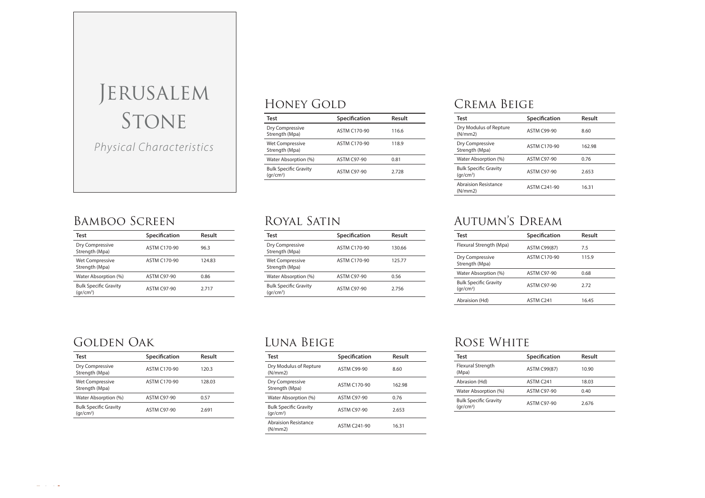# Jerusalem Stone Physical Characteristics

## Bamboo Screen

| Test                                        | Specification       | Result |
|---------------------------------------------|---------------------|--------|
| Dry Compressive<br>Strength (Mpa)           | <b>ASTM C170-90</b> | 96.3   |
| <b>Wet Compressive</b><br>Strength (Mpa)    | <b>ASTM C170-90</b> | 124.83 |
| Water Absorption (%)                        | <b>ASTM C97-90</b>  | 0.86   |
| <b>Bulk Specific Gravity</b><br>$(qr/cm^3)$ | <b>ASTM C97-90</b>  | 2.717  |

## Honey Gold

| Test                                        | Specification      | Result |
|---------------------------------------------|--------------------|--------|
| Dry Compressive<br>Strength (Mpa)           | ASTM C170-90       | 116.6  |
| Wet Compressive<br>Strength (Mpa)           | ASTM C170-90       | 118.9  |
| Water Absorption (%)                        | <b>ASTM C97-90</b> | 0.81   |
| <b>Bulk Specific Gravity</b><br>$(qr/cm^3)$ | <b>ASTM C97-90</b> | 2.728  |

## Royal Satin

| Test                                                  | Specification       | Result |
|-------------------------------------------------------|---------------------|--------|
| Dry Compressive<br>Strength (Mpa)                     | <b>ASTM C170-90</b> | 130.66 |
| Wet Compressive<br>Strength (Mpa)                     | <b>ASTM C170-90</b> | 125.77 |
| Water Absorption (%)                                  | <b>ASTM C97-90</b>  | 0.56   |
| <b>Bulk Specific Gravity</b><br>(qr/cm <sup>3</sup> ) | <b>ASTM C97-90</b>  | 2756   |

## Crema Beige

| Test                                        | Specification       | Result |
|---------------------------------------------|---------------------|--------|
| Dry Modulus of Repture<br>(N/mm 2)          | <b>ASTM C99-90</b>  | 8.60   |
| Dry Compressive<br>Strength (Mpa)           | <b>ASTM C170-90</b> | 162.98 |
| Water Absorption (%)                        | <b>ASTM C97-90</b>  | 0.76   |
| <b>Bulk Specific Gravity</b><br>$(qr/cm^3)$ | <b>ASTM C97-90</b>  | 2.653  |
| <b>Abraision Resistance</b><br>(N/mm 2)     | <b>ASTM C241-90</b> | 16.31  |

## Autumn's Dream

| Test                                        | Specification         | Result |
|---------------------------------------------|-----------------------|--------|
| Flexural Strength (Mpa)                     | <b>ASTM C99(87)</b>   | 7.5    |
| Dry Compressive<br>Strength (Mpa)           | <b>ASTM C170-90</b>   | 115.9  |
| Water Absorption (%)                        | <b>ASTM C97-90</b>    | 0.68   |
| <b>Bulk Specific Gravity</b><br>$(qr/cm^3)$ | <b>ASTM C97-90</b>    | 2.72   |
| Abraision (Hd)                              | ASTM C <sub>241</sub> | 16.45  |

#### Golden Oak

| Test                                        | Specification      | Result |
|---------------------------------------------|--------------------|--------|
| Dry Compressive<br>Strength (Mpa)           | ASTM C170-90       | 120.3  |
| <b>Wet Compressive</b><br>Strength (Mpa)    | ASTM C170-90       | 128.03 |
| Water Absorption (%)                        | <b>ASTM C97-90</b> | 0.57   |
| <b>Bulk Specific Gravity</b><br>$(qr/cm^3)$ | <b>ASTM C97-90</b> | 2.691  |
|                                             |                    |        |

## Luna Beige

| Test                                        | Specification       | Result |
|---------------------------------------------|---------------------|--------|
| Dry Modulus of Repture<br>(N/mm 2)          | <b>ASTM C99-90</b>  | 8.60   |
| Dry Compressive<br>Strength (Mpa)           | <b>ASTM C170-90</b> | 162.98 |
| Water Absorption (%)                        | <b>ASTM C97-90</b>  | 0.76   |
| <b>Bulk Specific Gravity</b><br>$(qr/cm^3)$ | <b>ASTM C97-90</b>  | 2.653  |
| Abraision Resistance<br>(N/mm 2)            | <b>ASTM C241-90</b> | 16.31  |

## Rose White

| Test                                                  | Specification       | Result |
|-------------------------------------------------------|---------------------|--------|
| Flexural Strength<br>(Mpa)                            | <b>ASTM C99(87)</b> | 10.90  |
| Abrasion (Hd)                                         | ASTM C241           | 18.03  |
| Water Absorption (%)                                  | <b>ASTM C97-90</b>  | 0.40   |
| <b>Bulk Specific Gravity</b><br>(qr/cm <sup>3</sup> ) | <b>ASTM C97-90</b>  | 2.676  |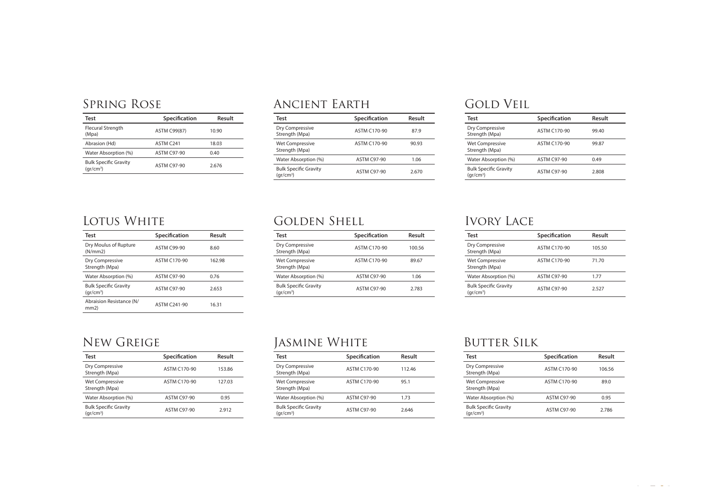#### Spring Rose

| Test                                        | Specification       | Result |
|---------------------------------------------|---------------------|--------|
| Flecural Strength<br>(Mpa)                  | <b>ASTM C99(87)</b> | 10.90  |
| Abrasion (Hd)                               | ASTM C241           | 18.03  |
| Water Absorption (%)                        | <b>ASTM C97-90</b>  | 0.40   |
| <b>Bulk Specific Gravity</b><br>$(qr/cm^3)$ | <b>ASTM C97-90</b>  | 2.676  |

#### Ancient Earth

| Test                                                  | Specification       | Result |
|-------------------------------------------------------|---------------------|--------|
| Dry Compressive<br>Strength (Mpa)                     | <b>ASTM C170-90</b> | 87.9   |
| <b>Wet Compressive</b><br>Strength (Mpa)              | <b>ASTM C170-90</b> | 90.93  |
| Water Absorption (%)                                  | <b>ASTM C97-90</b>  | 1.06   |
| <b>Bulk Specific Gravity</b><br>(ar/cm <sup>3</sup> ) | <b>ASTM C97-90</b>  | 2.670  |

## Golden Shell

| Test                                                  | Specification       | Result |
|-------------------------------------------------------|---------------------|--------|
| Dry Compressive<br>Strength (Mpa)                     | <b>ASTM C170-90</b> | 100.56 |
| <b>Wet Compressive</b><br>Strength (Mpa)              | <b>ASTM C170-90</b> | 89.67  |
| Water Absorption (%)                                  | <b>ASTM C97-90</b>  | 1.06   |
| <b>Bulk Specific Gravity</b><br>(qr/cm <sup>3</sup> ) | <b>ASTM C97-90</b>  | 2783   |

## Gold Veil

| Test                                                  | Specification      | Result |
|-------------------------------------------------------|--------------------|--------|
| Dry Compressive<br>Strength (Mpa)                     | ASTM C170-90       | 99.40  |
| <b>Wet Compressive</b><br>Strength (Mpa)              | ASTM C170-90       | 99.87  |
| Water Absorption (%)                                  | <b>ASTM C97-90</b> | 0.49   |
| <b>Bulk Specific Gravity</b><br>(ar/cm <sup>3</sup> ) | <b>ASTM C97-90</b> | 2.808  |

## Lotus White

| Test                                                  | Specification       | Result |
|-------------------------------------------------------|---------------------|--------|
| Dry Moulus of Rupture<br>(N/mm 2)                     | <b>ASTM C99-90</b>  | 8.60   |
| Dry Compressive<br>Strength (Mpa)                     | <b>ASTM C170-90</b> | 162.98 |
| Water Absorption (%)                                  | <b>ASTM C97-90</b>  | 0.76   |
| <b>Bulk Specific Gravity</b><br>(qr/cm <sup>3</sup> ) | <b>ASTM C97-90</b>  | 2.653  |
| Abraision Resistance (N/<br>mm2)                      | <b>ASTM C241-90</b> | 16.31  |

#### New Greige

| <b>Test</b>                                 | Specification       | Result |
|---------------------------------------------|---------------------|--------|
| Dry Compressive<br>Strength (Mpa)           | <b>ASTM C170-90</b> | 153.86 |
| <b>Wet Compressive</b><br>Strength (Mpa)    | <b>ASTM C170-90</b> | 127.03 |
| Water Absorption (%)                        | <b>ASTM C97-90</b>  | 0.95   |
| <b>Bulk Specific Gravity</b><br>$(qr/cm^3)$ | <b>ASTM C97-90</b>  | 2.912  |
|                                             |                     |        |

## Jasmine White

| Test                                        | Specification       | Result |
|---------------------------------------------|---------------------|--------|
| Dry Compressive<br>Strength (Mpa)           | <b>ASTM C170-90</b> | 11246  |
| <b>Wet Compressive</b><br>Strength (Mpa)    | <b>ASTM C170-90</b> | 951    |
| Water Absorption (%)                        | <b>ASTM C97-90</b>  | 1.73   |
| <b>Bulk Specific Gravity</b><br>$(qr/cm^3)$ | <b>ASTM C97-90</b>  | 2.646  |

## Ivory Lace

| Test                                                  | Specification      | Result |
|-------------------------------------------------------|--------------------|--------|
| Dry Compressive<br>Strength (Mpa)                     | ASTM C170-90       | 105.50 |
| Wet Compressive<br>Strength (Mpa)                     | ASTM C170-90       | 71 70  |
| Water Absorption (%)                                  | <b>ASTM C97-90</b> | 177    |
| <b>Bulk Specific Gravity</b><br>(qr/cm <sup>3</sup> ) | <b>ASTM C97-90</b> | 2527   |

## **BUTTER SILK**

| Test                                                  | Specification       | Result |
|-------------------------------------------------------|---------------------|--------|
| Dry Compressive<br>Strength (Mpa)                     | <b>ASTM C170-90</b> | 106.56 |
| <b>Wet Compressive</b><br>Strength (Mpa)              | ASTM C170-90        | 89.0   |
| Water Absorption (%)                                  | <b>ASTM C97-90</b>  | 0.95   |
| <b>Bulk Specific Gravity</b><br>(ar/cm <sup>3</sup> ) | <b>ASTM C97-90</b>  | 2.786  |